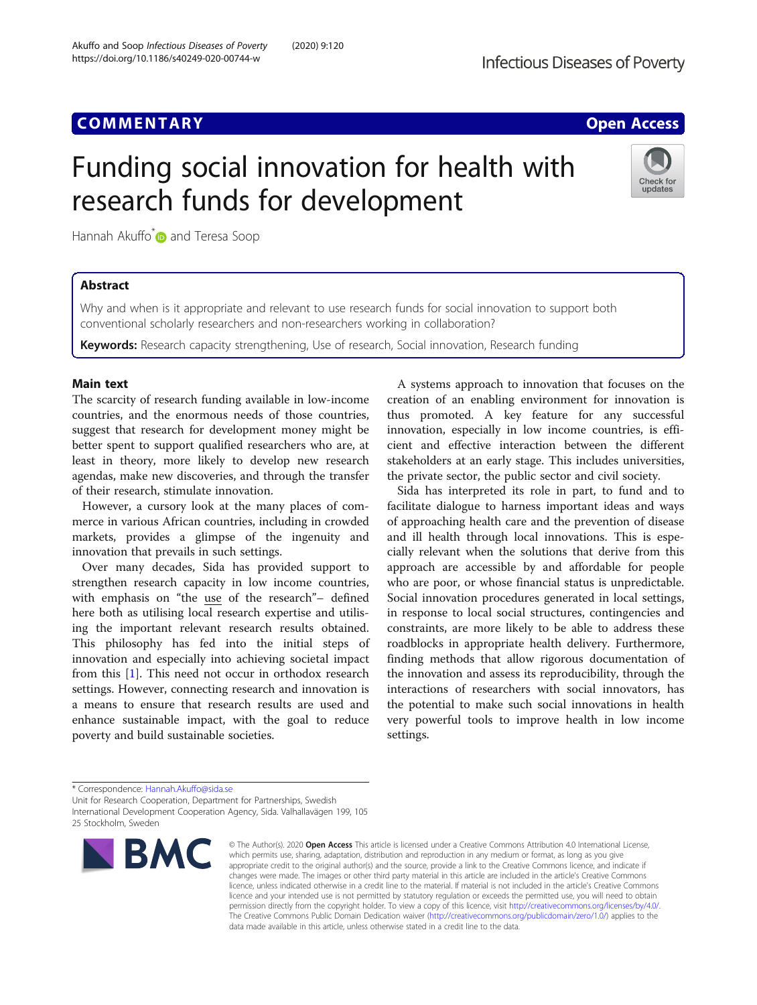https://doi.org/10.1186/s40249-020-00744-w

## **COMMENTARY COMMENTARY COMMENTARY**

Check for updates

# Funding social innovation for health with research funds for development

Hannah Akuffo<sup>[\\*](http://orcid.org/0000-0003-1854-3591)</sup> and Teresa Soop

## Abstract

Why and when is it appropriate and relevant to use research funds for social innovation to support both conventional scholarly researchers and non-researchers working in collaboration?

Keywords: Research capacity strengthening, Use of research, Social innovation, Research funding

### Main text

The scarcity of research funding available in low-income countries, and the enormous needs of those countries, suggest that research for development money might be better spent to support qualified researchers who are, at least in theory, more likely to develop new research agendas, make new discoveries, and through the transfer of their research, stimulate innovation.

However, a cursory look at the many places of commerce in various African countries, including in crowded markets, provides a glimpse of the ingenuity and innovation that prevails in such settings.

Over many decades, Sida has provided support to strengthen research capacity in low income countries, with emphasis on "the use of the research"– defined here both as utilising local research expertise and utilising the important relevant research results obtained. This philosophy has fed into the initial steps of innovation and especially into achieving societal impact from this [[1\]](#page-1-0). This need not occur in orthodox research settings. However, connecting research and innovation is a means to ensure that research results are used and enhance sustainable impact, with the goal to reduce poverty and build sustainable societies.

A systems approach to innovation that focuses on the creation of an enabling environment for innovation is thus promoted. A key feature for any successful innovation, especially in low income countries, is efficient and effective interaction between the different stakeholders at an early stage. This includes universities, the private sector, the public sector and civil society.

Sida has interpreted its role in part, to fund and to facilitate dialogue to harness important ideas and ways of approaching health care and the prevention of disease and ill health through local innovations. This is especially relevant when the solutions that derive from this approach are accessible by and affordable for people who are poor, or whose financial status is unpredictable. Social innovation procedures generated in local settings, in response to local social structures, contingencies and constraints, are more likely to be able to address these roadblocks in appropriate health delivery. Furthermore, finding methods that allow rigorous documentation of the innovation and assess its reproducibility, through the interactions of researchers with social innovators, has the potential to make such social innovations in health very powerful tools to improve health in low income settings.

\* Correspondence: [Hannah.Akuffo@sida.se](mailto:Hannah.Akuffo@sida.se)

Unit for Research Cooperation, Department for Partnerships, Swedish International Development Cooperation Agency, Sida. Valhallavägen 199, 105 25 Stockholm, Sweden



© The Author(s), 2020 **Open Access** This article is licensed under a Creative Commons Attribution 4.0 International License, which permits use, sharing, adaptation, distribution and reproduction in any medium or format, as long as you give appropriate credit to the original author(s) and the source, provide a link to the Creative Commons licence, and indicate if changes were made. The images or other third party material in this article are included in the article's Creative Commons licence, unless indicated otherwise in a credit line to the material. If material is not included in the article's Creative Commons licence and your intended use is not permitted by statutory regulation or exceeds the permitted use, you will need to obtain permission directly from the copyright holder. To view a copy of this licence, visit [http://creativecommons.org/licenses/by/4.0/.](http://creativecommons.org/licenses/by/4.0/) The Creative Commons Public Domain Dedication waiver [\(http://creativecommons.org/publicdomain/zero/1.0/](http://creativecommons.org/publicdomain/zero/1.0/)) applies to the data made available in this article, unless otherwise stated in a credit line to the data.